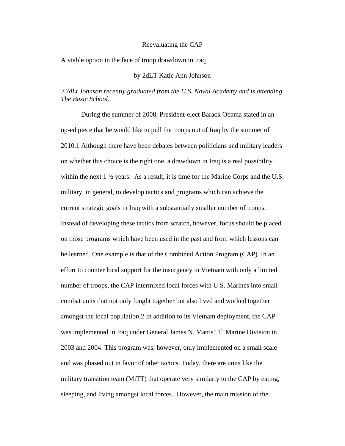#### Reevaluating the CAP

A viable option in the face of troop drawdown in Iraq

## by 2dLT Katie Ann Johnson

# *>2dLt Johnson recently graduated from the U.S. Naval Academy and is attending The Basic School.*

During the summer of 2008, President-elect Barack Obama stated in an op-ed piece that he would like to pull the troops out of Iraq by the summer of 2010.1 Although there have been debates between politicians and military leaders on whether this choice is the right one, a drawdown in Iraq is a real possibility within the next  $1 \frac{1}{2}$  years. As a result, it is time for the Marine Corps and the U.S. military, in general, to develop tactics and programs which can achieve the current strategic goals in Iraq with a substantially smaller number of troops. Instead of developing these tactics from scratch, however, focus should be placed on those programs which have been used in the past and from which lessons can be learned. One example is that of the Combined Action Program (CAP). In an effort to counter local support for the insurgency in Vietnam with only a limited number of troops, the CAP intermixed local forces with U.S. Marines into small combat units that not only fought together but also lived and worked together amongst the local population.2 In addition to its Vietnam deployment, the CAP was implemented in Iraq under General James N. Mattis' 1<sup>st</sup> Marine Division in 2003 and 2004. This program was, however, only implemented on a small scale and was phased out in favor of other tactics. Today, there are units like the military transition team (MiTT) that operate very similarly to the CAP by eating, sleeping, and living amongst local forces. However, the main mission of the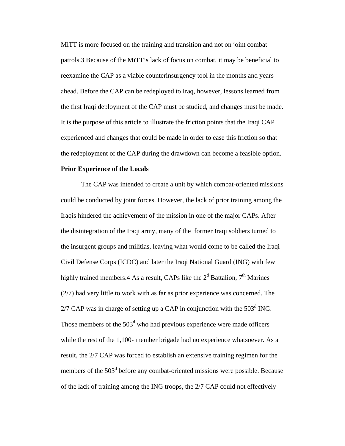MiTT is more focused on the training and transition and not on joint combat patrols.3 Because of the MiTT's lack of focus on combat, it may be beneficial to reexamine the CAP as a viable counterinsurgency tool in the months and years ahead. Before the CAP can be redeployed to Iraq, however, lessons learned from the first Iraqi deployment of the CAP must be studied, and changes must be made. It is the purpose of this article to illustrate the friction points that the Iraqi CAP experienced and changes that could be made in order to ease this friction so that the redeployment of the CAP during the drawdown can become a feasible option.

#### **Prior Experience of the Locals**

The CAP was intended to create a unit by which combat-oriented missions could be conducted by joint forces. However, the lack of prior training among the Iraqis hindered the achievement of the mission in one of the major CAPs. After the disintegration of the Iraqi army, many of the former Iraqi soldiers turned to the insurgent groups and militias, leaving what would come to be called the Iraqi Civil Defense Corps (ICDC) and later the Iraqi National Guard (ING) with few highly trained members. 4 As a result, CAPs like the  $2<sup>d</sup>$  Battalion,  $7<sup>th</sup>$  Marines (2/7) had very little to work with as far as prior experience was concerned. The  $2/7$  CAP was in charge of setting up a CAP in conjunction with the 503<sup>d</sup> ING. Those members of the  $503<sup>d</sup>$  who had previous experience were made officers while the rest of the 1,100- member brigade had no experience whatsoever. As a result, the 2/7 CAP was forced to establish an extensive training regimen for the members of the 503<sup>d</sup> before any combat-oriented missions were possible. Because of the lack of training among the ING troops, the 2/7 CAP could not effectively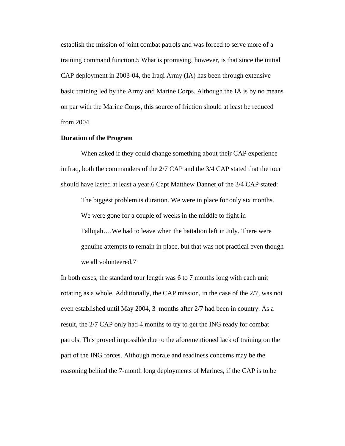establish the mission of joint combat patrols and was forced to serve more of a training command function.5 What is promising, however, is that since the initial CAP deployment in 2003-04, the Iraqi Army (IA) has been through extensive basic training led by the Army and Marine Corps. Although the IA is by no means on par with the Marine Corps, this source of friction should at least be reduced from 2004.

## **Duration of the Program**

When asked if they could change something about their CAP experience in Iraq, both the commanders of the 2/7 CAP and the 3/4 CAP stated that the tour should have lasted at least a year.6 Capt Matthew Danner of the 3/4 CAP stated:

The biggest problem is duration. We were in place for only six months. We were gone for a couple of weeks in the middle to fight in Fallujah….We had to leave when the battalion left in July. There were genuine attempts to remain in place, but that was not practical even though we all volunteered.7

In both cases, the standard tour length was 6 to 7 months long with each unit rotating as a whole. Additionally, the CAP mission, in the case of the 2/7, was not even established until May 2004, 3 months after 2/7 had been in country. As a result, the 2/7 CAP only had 4 months to try to get the ING ready for combat patrols. This proved impossible due to the aforementioned lack of training on the part of the ING forces. Although morale and readiness concerns may be the reasoning behind the 7-month long deployments of Marines, if the CAP is to be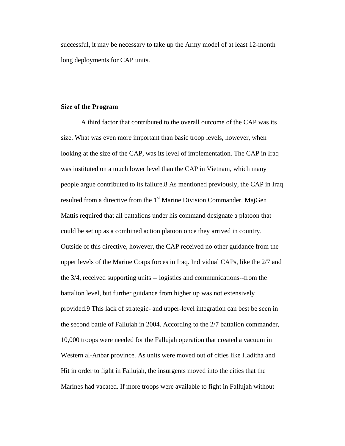successful, it may be necessary to take up the Army model of at least 12-month long deployments for CAP units.

## **Size of the Program**

A third factor that contributed to the overall outcome of the CAP was its size. What was even more important than basic troop levels, however, when looking at the size of the CAP, was its level of implementation. The CAP in Iraq was instituted on a much lower level than the CAP in Vietnam, which many people argue contributed to its failure.8 As mentioned previously, the CAP in Iraq resulted from a directive from the 1<sup>st</sup> Marine Division Commander. MajGen Mattis required that all battalions under his command designate a platoon that could be set up as a combined action platoon once they arrived in country. Outside of this directive, however, the CAP received no other guidance from the upper levels of the Marine Corps forces in Iraq. Individual CAPs, like the 2/7 and the 3/4, received supporting units -- logistics and communications--from the battalion level, but further guidance from higher up was not extensively provided.9 This lack of strategic- and upper-level integration can best be seen in the second battle of Fallujah in 2004. According to the 2/7 battalion commander, 10,000 troops were needed for the Fallujah operation that created a vacuum in Western al-Anbar province. As units were moved out of cities like Haditha and Hit in order to fight in Fallujah, the insurgents moved into the cities that the Marines had vacated. If more troops were available to fight in Fallujah without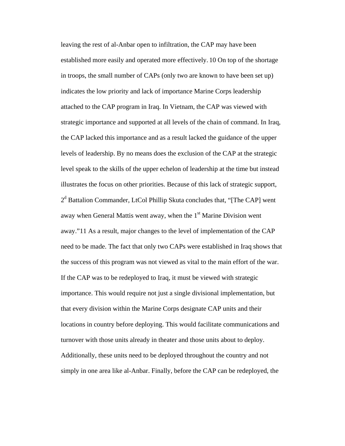leaving the rest of al-Anbar open to infiltration, the CAP may have been established more easily and operated more effectively. 10 On top of the shortage in troops, the small number of CAPs (only two are known to have been set up) indicates the low priority and lack of importance Marine Corps leadership attached to the CAP program in Iraq. In Vietnam, the CAP was viewed with strategic importance and supported at all levels of the chain of command. In Iraq, the CAP lacked this importance and as a result lacked the guidance of the upper levels of leadership. By no means does the exclusion of the CAP at the strategic level speak to the skills of the upper echelon of leadership at the time but instead illustrates the focus on other priorities. Because of this lack of strategic support, 2<sup>d</sup> Battalion Commander, LtCol Phillip Skuta concludes that, "[The CAP] went away when General Mattis went away, when the  $1<sup>st</sup>$  Marine Division went away."11 As a result, major changes to the level of implementation of the CAP need to be made. The fact that only two CAPs were established in Iraq shows that the success of this program was not viewed as vital to the main effort of the war. If the CAP was to be redeployed to Iraq, it must be viewed with strategic importance. This would require not just a single divisional implementation, but that every division within the Marine Corps designate CAP units and their locations in country before deploying. This would facilitate communications and turnover with those units already in theater and those units about to deploy. Additionally, these units need to be deployed throughout the country and not simply in one area like al-Anbar. Finally, before the CAP can be redeployed, the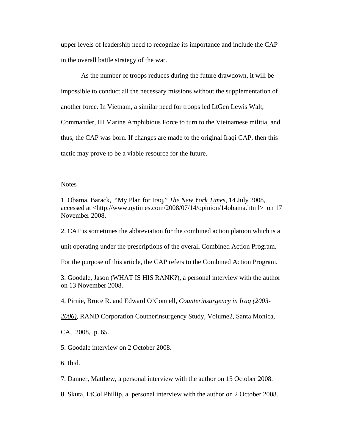upper levels of leadership need to recognize its importance and include the CAP in the overall battle strategy of the war.

As the number of troops reduces during the future drawdown, it will be impossible to conduct all the necessary missions without the supplementation of another force. In Vietnam, a similar need for troops led LtGen Lewis Walt, Commander, III Marine Amphibious Force to turn to the Vietnamese militia, and thus, the CAP was born. If changes are made to the original Iraqi CAP, then this tactic may prove to be a viable resource for the future.

#### **Notes**

1. Obama, Barack, "My Plan for Iraq," *The New York Times*, 14 July 2008, accessed at <http://www.nytimes.com/2008/07/14/opinion/14obama.html> on 17 November 2008.

2. CAP is sometimes the abbreviation for the combined action platoon which is a

unit operating under the prescriptions of the overall Combined Action Program.

For the purpose of this article, the CAP refers to the Combined Action Program.

3. Goodale, Jason (WHAT IS HIS RANK?), a personal interview with the author on 13 November 2008.

4. Pirnie, Bruce R. and Edward O'Connell, *Counterinsurgency in Iraq (2003-*

*2006),* RAND Corporation Coutnerinsurgency Study, Volume2, Santa Monica,

CA, 2008, p. 65.

5. Goodale interview on 2 October 2008.

6. Ibid.

7. Danner, Matthew, a personal interview with the author on 15 October 2008.

8. Skuta, LtCol Phillip, a personal interview with the author on 2 October 2008.